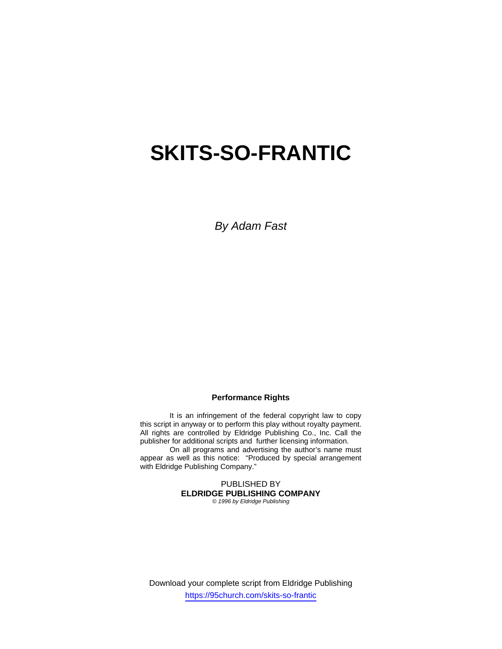# **SKITS-SO-FRANTIC**

*By Adam Fast* 

## **Performance Rights**

It is an infringement of the federal copyright law to copy this script in anyway or to perform this play without royalty payment. All rights are controlled by Eldridge Publishing Co., Inc. Call the publisher for additional scripts and further licensing information.

 On all programs and advertising the author's name must appear as well as this notice: "Produced by special arrangement with Eldridge Publishing Company."

> PUBLISHED BY **ELDRIDGE PUBLISHING COMPANY**

*© 1996 by Eldridge Publishing*

Download your complete script from Eldridge Publishing https://95church.com/skits-so-frantic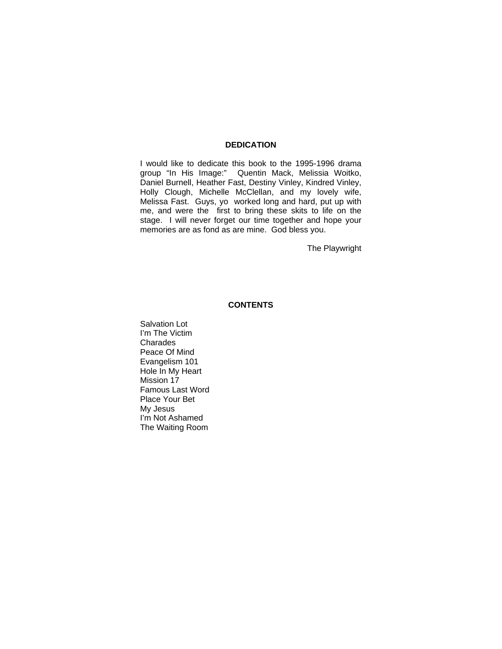## **DEDICATION**

I would like to dedicate this book to the 1995-1996 drama group "In His Image:" Quentin Mack, Melissia Woitko, Daniel Burnell, Heather Fast, Destiny Vinley, Kindred Vinley, Holly Clough, Michelle McClellan, and my lovely wife, Melissa Fast. Guys, yo worked long and hard, put up with me, and were the first to bring these skits to life on the stage. I will never forget our time together and hope your memories are as fond as are mine. God bless you.

The Playwright

## **CONTENTS**

Salvation Lot I'm The Victim Charades Peace Of Mind Evangelism 101 Hole In My Heart Mission 17 Famous Last Word Place Your Bet My Jesus I'm Not Ashamed The Waiting Room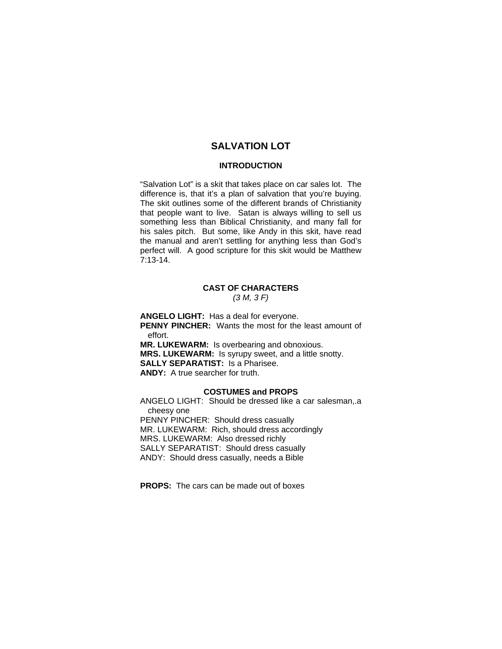## **SALVATION LOT**

## **INTRODUCTION**

"Salvation Lot" is a skit that takes place on car sales lot. The difference is, that it's a plan of salvation that you're buying. The skit outlines some of the different brands of Christianity that people want to live. Satan is always willing to sell us something less than Biblical Christianity, and many fall for his sales pitch. But some, like Andy in this skit, have read the manual and aren't settling for anything less than God's perfect will. A good scripture for this skit would be Matthew 7:13-14.

### **CAST OF CHARACTERS**  *(3 M, 3 F)*

**ANGELO LIGHT:** Has a deal for everyone. **PENNY PINCHER:** Wants the most for the least amount of effort. **MR. LUKEWARM:** Is overbearing and obnoxious. **MRS. LUKEWARM:** Is syrupy sweet, and a little snotty. **SALLY SEPARATIST:** Is a Pharisee. **ANDY:** A true searcher for truth.

#### **COSTUMES and PROPS**

ANGELO LIGHT: Should be dressed like a car salesman,.a cheesy one PENNY PINCHER: Should dress casually MR. LUKEWARM: Rich, should dress accordingly MRS. LUKEWARM: Also dressed richly SALLY SEPARATIST: Should dress casually ANDY: Should dress casually, needs a Bible

**PROPS:** The cars can be made out of boxes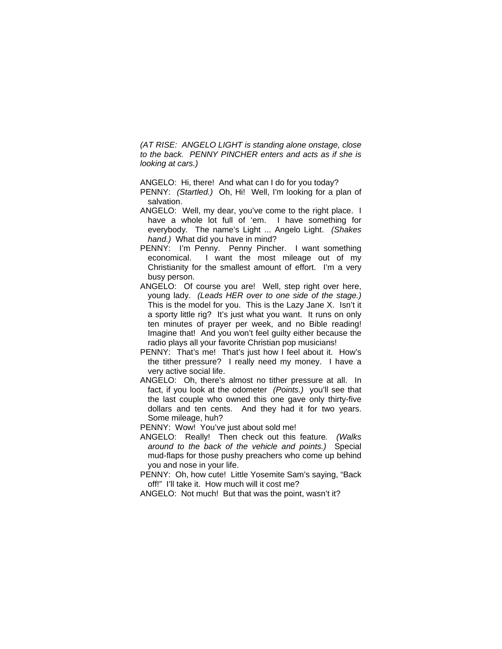*(AT RISE: ANGELO LIGHT is standing alone onstage, close to the back. PENNY PINCHER enters and acts as if she is looking at cars.)* 

ANGELO: Hi, there! And what can I do for you today?

- PENNY: *(Startled.)* Oh, Hi! Well, I'm looking for a plan of salvation.
- ANGELO: Well, my dear, you've come to the right place. I have a whole lot full of 'em. I have something for everybody. The name's Light ... Angelo Light. *(Shakes hand.)* What did you have in mind?
- PENNY: I'm Penny. Penny Pincher. I want something economical. I want the most mileage out of my Christianity for the smallest amount of effort. I'm a very busy person.
- ANGELO: Of course you are! Well, step right over here, young lady. *(Leads HER over to one side of the stage.)* This is the model for you. This is the Lazy Jane X. Isn't it a sporty little rig? It's just what you want. It runs on only ten minutes of prayer per week, and no Bible reading! Imagine that! And you won't feel guilty either because the radio plays all your favorite Christian pop musicians!
- PENNY: That's me! That's just how I feel about it. How's the tither pressure? I really need my money. I have a very active social life.
- ANGELO: Oh, there's almost no tither pressure at all. In fact, if you look at the odometer *(Points.)* you'll see that the last couple who owned this one gave only thirty-five dollars and ten cents. And they had it for two years. Some mileage, huh?
- PENNY: Wow! You've just about sold me!
- ANGELO: Really! Then check out this feature*. (Walks around to the back of the vehicle and points.)* Special mud-flaps for those pushy preachers who come up behind you and nose in your life.
- PENNY: Oh, how cute! Little Yosemite Sam's saying, "Back off!" I'll take it. How much will it cost me?
- ANGELO: Not much! But that was the point, wasn't it?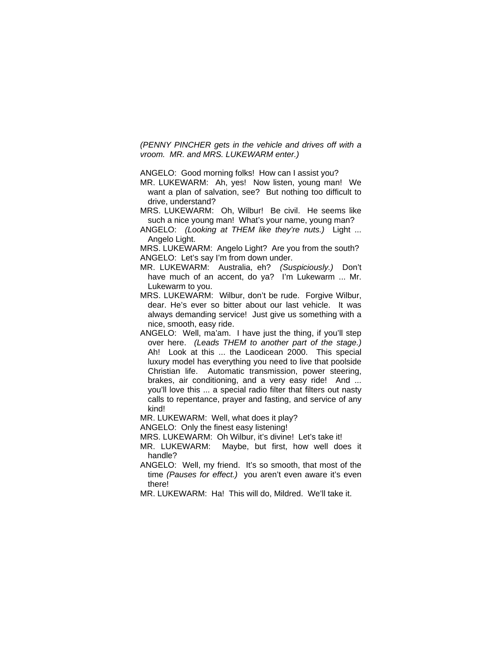*(PENNY PINCHER gets in the vehicle and drives off with a vroom. MR. and MRS. LUKEWARM enter.)* 

ANGELO: Good morning folks! How can I assist you?

- MR. LUKEWARM: Ah, yes! Now listen, young man! We want a plan of salvation, see? But nothing too difficult to drive, understand?
- MRS. LUKEWARM: Oh, Wilbur! Be civil. He seems like such a nice young man! What's your name, young man?
- ANGELO: *(Looking at THEM like they're nuts.)* Light ... Angelo Light.

MRS. LUKEWARM: Angelo Light? Are you from the south? ANGELO: Let's say I'm from down under.

MR. LUKEWARM: Australia, eh? *(Suspiciously.)* Don't have much of an accent, do ya? I'm Lukewarm ... Mr. Lukewarm to you.

- MRS. LUKEWARM: Wilbur, don't be rude. Forgive Wilbur, dear. He's ever so bitter about our last vehicle. It was always demanding service! Just give us something with a nice, smooth, easy ride.
- ANGELO: Well, ma'am. I have just the thing, if you'll step over here. *(Leads THEM to another part of the stage.)* Ah! Look at this ... the Laodicean 2000. This special luxury model has everything you need to live that poolside Christian life. Automatic transmission, power steering, brakes, air conditioning, and a very easy ride! And ... you'll love this ... a special radio filter that filters out nasty calls to repentance, prayer and fasting, and service of any kind!

MR. LUKEWARM: Well, what does it play?

ANGELO: Only the finest easy listening!

MRS. LUKEWARM: Oh Wilbur, it's divine! Let's take it!

- MR. LUKEWARM: Maybe, but first, how well does it handle?
- ANGELO: Well, my friend. It's so smooth, that most of the time *(Pauses for effect.)* you aren't even aware it's even there!
- MR. LUKEWARM: Ha! This will do, Mildred. We'll take it.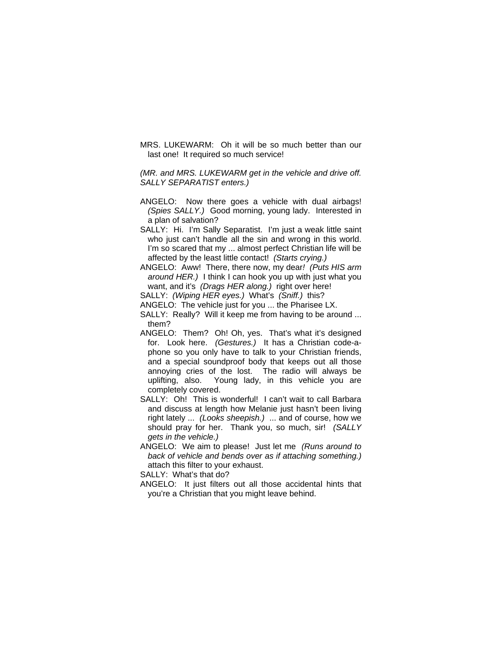MRS. LUKEWARM: Oh it will be so much better than our last one! It required so much service!

*(MR. and MRS. LUKEWARM get in the vehicle and drive off. SALLY SEPARATIST enters.)* 

- ANGELO: Now there goes a vehicle with dual airbags! *(Spies SALLY.)* Good morning, young lady. Interested in a plan of salvation?
- SALLY: Hi. I'm Sally Separatist. I'm just a weak little saint who just can't handle all the sin and wrong in this world. I'm so scared that my ... almost perfect Christian life will be affected by the least little contact! *(Starts crying.)*
- ANGELO: Aww! There, there now, my dear*! (Puts HIS arm around HER.)* I think I can hook you up with just what you want, and it's *(Drags HER along.)* right over here!
- SALLY: *(Wiping HER eyes.)* What's *(Sniff.)* this?
- ANGELO: The vehicle just for you ... the Pharisee LX.
- SALLY: Really? Will it keep me from having to be around ... them?
- ANGELO: Them? Oh! Oh, yes. That's what it's designed for. Look here. *(Gestures.)* It has a Christian code-aphone so you only have to talk to your Christian friends, and a special soundproof body that keeps out all those annoying cries of the lost. The radio will always be uplifting, also. Young lady, in this vehicle you are completely covered.
- SALLY: Oh! This is wonderful! I can't wait to call Barbara and discuss at length how Melanie just hasn't been living right lately ... *(Looks sheepish.)* ... and of course, how we should pray for her. Thank you, so much, sir! *(SALLY gets in the vehicle.)*
- ANGELO: We aim to please! Just let me *(Runs around to back of vehicle and bends over as if attaching something.)* attach this filter to your exhaust.

SALLY: What's that do?

ANGELO: It just filters out all those accidental hints that you're a Christian that you might leave behind.